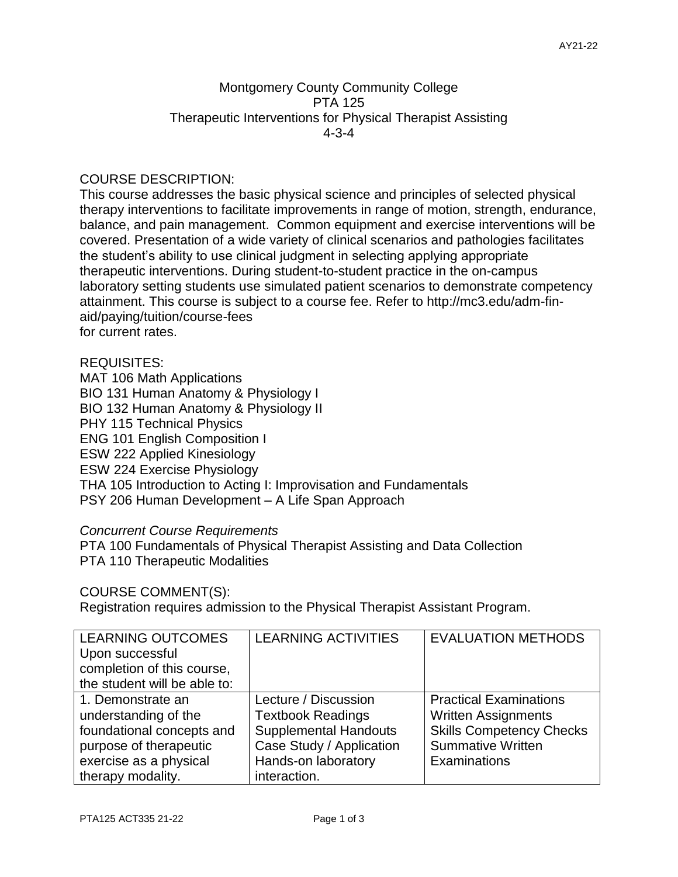## Montgomery County Community College PTA 125 Therapeutic Interventions for Physical Therapist Assisting 4-3-4

# COURSE DESCRIPTION:

This course addresses the basic physical science and principles of selected physical therapy interventions to facilitate improvements in range of motion, strength, endurance, balance, and pain management. Common equipment and exercise interventions will be covered. Presentation of a wide variety of clinical scenarios and pathologies facilitates the student's ability to use clinical judgment in selecting applying appropriate therapeutic interventions. During student-to-student practice in the on-campus laboratory setting students use simulated patient scenarios to demonstrate competency attainment. This course is subject to a course fee. Refer to http://mc3.edu/adm-finaid/paying/tuition/course-fees for current rates.

#### REQUISITES:

MAT 106 Math Applications BIO 131 Human Anatomy & Physiology I BIO 132 Human Anatomy & Physiology II PHY 115 Technical Physics ENG 101 English Composition I ESW 222 Applied Kinesiology ESW 224 Exercise Physiology THA 105 Introduction to Acting I: Improvisation and Fundamentals PSY 206 Human Development – A Life Span Approach

#### *Concurrent Course Requirements*

PTA 100 Fundamentals of Physical Therapist Assisting and Data Collection PTA 110 Therapeutic Modalities

## COURSE COMMENT(S):

Registration requires admission to the Physical Therapist Assistant Program.

| <b>LEARNING OUTCOMES</b><br>Upon successful<br>completion of this course,<br>the student will be able to:                                       | <b>LEARNING ACTIVITIES</b>                                                                                                                          | <b>EVALUATION METHODS</b>                                                                                                                  |
|-------------------------------------------------------------------------------------------------------------------------------------------------|-----------------------------------------------------------------------------------------------------------------------------------------------------|--------------------------------------------------------------------------------------------------------------------------------------------|
| 1. Demonstrate an<br>understanding of the<br>foundational concepts and<br>purpose of therapeutic<br>exercise as a physical<br>therapy modality. | Lecture / Discussion<br><b>Textbook Readings</b><br><b>Supplemental Handouts</b><br>Case Study / Application<br>Hands-on laboratory<br>interaction. | <b>Practical Examinations</b><br><b>Written Assignments</b><br><b>Skills Competency Checks</b><br><b>Summative Written</b><br>Examinations |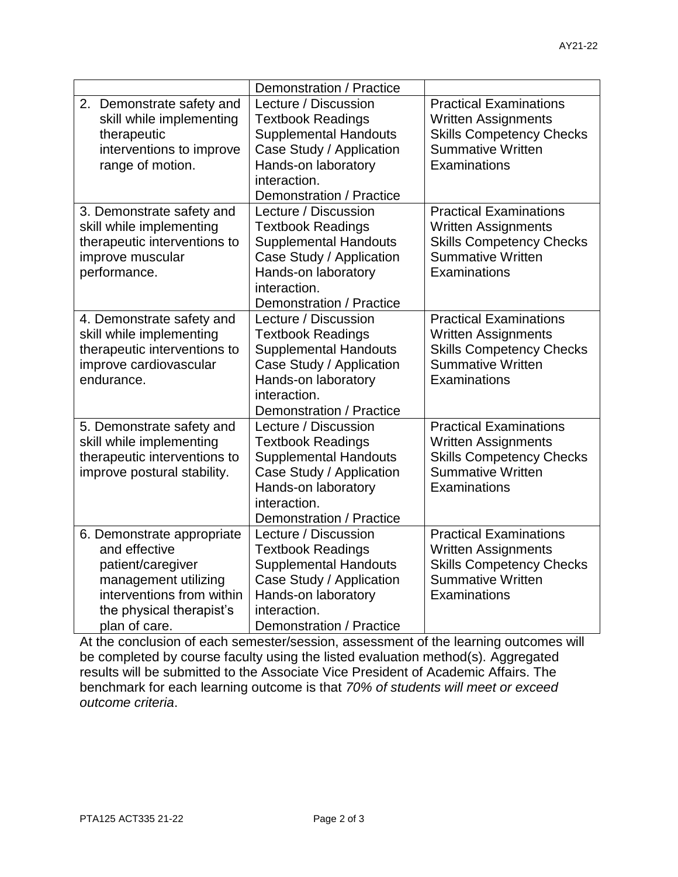| Demonstration / Practice |                                                                                                                                                                    |                                                                                                                                                                                 |                                                                                                                                            |  |
|--------------------------|--------------------------------------------------------------------------------------------------------------------------------------------------------------------|---------------------------------------------------------------------------------------------------------------------------------------------------------------------------------|--------------------------------------------------------------------------------------------------------------------------------------------|--|
|                          | 2. Demonstrate safety and<br>skill while implementing<br>therapeutic<br>interventions to improve<br>range of motion.                                               | Lecture / Discussion<br><b>Textbook Readings</b><br><b>Supplemental Handouts</b><br>Case Study / Application<br>Hands-on laboratory<br>interaction.<br>Demonstration / Practice | <b>Practical Examinations</b><br><b>Written Assignments</b><br><b>Skills Competency Checks</b><br><b>Summative Written</b><br>Examinations |  |
|                          | 3. Demonstrate safety and<br>skill while implementing<br>therapeutic interventions to<br>improve muscular<br>performance.                                          | Lecture / Discussion<br><b>Textbook Readings</b><br><b>Supplemental Handouts</b><br>Case Study / Application<br>Hands-on laboratory<br>interaction.<br>Demonstration / Practice | <b>Practical Examinations</b><br><b>Written Assignments</b><br><b>Skills Competency Checks</b><br><b>Summative Written</b><br>Examinations |  |
|                          | 4. Demonstrate safety and<br>skill while implementing<br>therapeutic interventions to<br>improve cardiovascular<br>endurance.                                      | Lecture / Discussion<br><b>Textbook Readings</b><br><b>Supplemental Handouts</b><br>Case Study / Application<br>Hands-on laboratory<br>interaction.<br>Demonstration / Practice | <b>Practical Examinations</b><br><b>Written Assignments</b><br><b>Skills Competency Checks</b><br><b>Summative Written</b><br>Examinations |  |
|                          | 5. Demonstrate safety and<br>skill while implementing<br>therapeutic interventions to<br>improve postural stability.                                               | Lecture / Discussion<br><b>Textbook Readings</b><br><b>Supplemental Handouts</b><br>Case Study / Application<br>Hands-on laboratory<br>interaction.<br>Demonstration / Practice | <b>Practical Examinations</b><br><b>Written Assignments</b><br><b>Skills Competency Checks</b><br><b>Summative Written</b><br>Examinations |  |
|                          | 6. Demonstrate appropriate<br>and effective<br>patient/caregiver<br>management utilizing<br>interventions from within<br>the physical therapist's<br>plan of care. | Lecture / Discussion<br><b>Textbook Readings</b><br><b>Supplemental Handouts</b><br>Case Study / Application<br>Hands-on laboratory<br>interaction.<br>Demonstration / Practice | <b>Practical Examinations</b><br><b>Written Assignments</b><br><b>Skills Competency Checks</b><br><b>Summative Written</b><br>Examinations |  |

At the conclusion of each semester/session, assessment of the learning outcomes will be completed by course faculty using the listed evaluation method(s). Aggregated results will be submitted to the Associate Vice President of Academic Affairs. The benchmark for each learning outcome is that *70% of students will meet or exceed outcome criteria*.